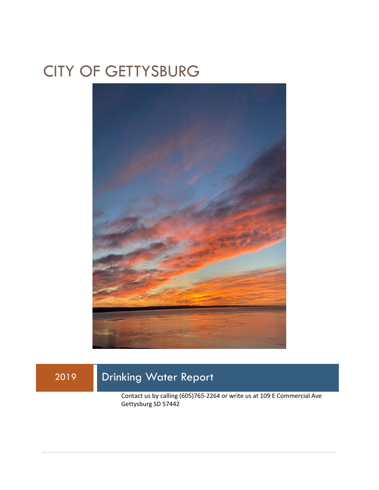# CITY OF GETTYSBURG



2019 Drinking Water Report Contact us by calling (605)765-2264 or write us at 109 E Commercial Ave Gettysburg SD 57442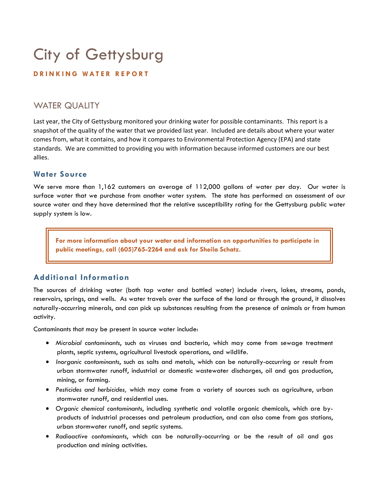# City of Gettysburg

#### **DRINKING WATER REPORT**

## WATER QUALITY

Last year, the City of Gettysburg monitored your drinking water for possible contaminants. This report is a snapshot of the quality of the water that we provided last year. Included are details about where your water comes from, what it contains, and how it compares to Environmental Protection Agency (EPA) and state standards. We are committed to providing you with information because informed customers are our best allies.

### **Water Source**

We serve more than 1,162 customers an average of 112,000 gallons of water per day. Our water is surface water that we purchase from another water system. The state has performed an assessment of our source water and they have determined that the relative susceptibility rating for the Gettysburg public water supply system is low.

**For more information about your water and information on opportunities to participate in public meetings, call (605)765-2264 and ask for Sheila Schatz.** 

## **Additional Information**

The sources of drinking water (both tap water and bottled water) include rivers, lakes, streams, ponds, reservoirs, springs, and wells. As water travels over the surface of the land or through the ground, it dissolves naturally-occurring minerals, and can pick up substances resulting from the presence of animals or from human activity.

Contaminants that may be present in source water include:

- *Microbial contaminants*, such as viruses and bacteria, which may come from sewage treatment plants, septic systems, agricultural livestock operations, and wildlife.
- *Inorganic contaminants*, such as salts and metals, which can be naturally-occurring or result from urban stormwater runoff, industrial or domestic wastewater discharges, oil and gas production, mining, or farming.
- *Pesticides and herbicides,* which may come from a variety of sources such as agriculture, urban stormwater runoff, and residential uses.
- *Organic chemical contaminants*, including synthetic and volatile organic chemicals, which are byproducts of industrial processes and petroleum production, and can also come from gas stations, urban stormwater runoff, and septic systems.
- *Radioactive contaminants*, which can be naturally-occurring or be the result of oil and gas production and mining activities.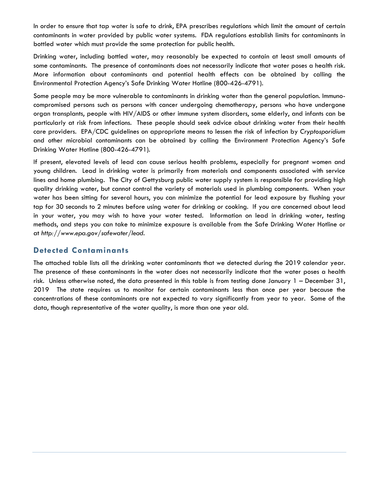In order to ensure that tap water is safe to drink, EPA prescribes regulations which limit the amount of certain contaminants in water provided by public water systems. FDA regulations establish limits for contaminants in bottled water which must provide the same protection for public health.

Drinking water, including bottled water, may reasonably be expected to contain at least small amounts of some contaminants. The presence of contaminants does not necessarily indicate that water poses a health risk. More information about contaminants and potential health effects can be obtained by calling the Environmental Protection Agency's Safe Drinking Water Hotline (800-426-4791).

Some people may be more vulnerable to contaminants in drinking water than the general population. Immunocompromised persons such as persons with cancer undergoing chemotherapy, persons who have undergone organ transplants, people with HIV/AIDS or other immune system disorders, some elderly, and infants can be particularly at risk from infections. These people should seek advice about drinking water from their health care providers. EPA/CDC guidelines on appropriate means to lessen the risk of infection by *Cryptosporidium* and other microbial contaminants can be obtained by calling the Environment Protection Agency's Safe Drinking Water Hotline (800-426-4791).

If present, elevated levels of lead can cause serious health problems, especially for pregnant women and young children. Lead in drinking water is primarily from materials and components associated with service lines and home plumbing. The City of Gettysburg public water supply system is responsible for providing high quality drinking water, but cannot control the variety of materials used in plumbing components. When your water has been sitting for several hours, you can minimize the potential for lead exposure by flushing your tap for 30 seconds to 2 minutes before using water for drinking or cooking. If you are concerned about lead in your water, you may wish to have your water tested. Information on lead in drinking water, testing methods, and steps you can take to minimize exposure is available from the Safe Drinking Water Hotline or at *http://www.epa.gov/safewater/lead*.

### **Detected Contaminants**

The attached table lists all the drinking water contaminants that we detected during the 2019 calendar year. The presence of these contaminants in the water does not necessarily indicate that the water poses a health risk. Unless otherwise noted, the data presented in this table is from testing done January 1 – December 31, 2019 The state requires us to monitor for certain contaminants less than once per year because the concentrations of these contaminants are not expected to vary significantly from year to year. Some of the data, though representative of the water quality, is more than one year old.